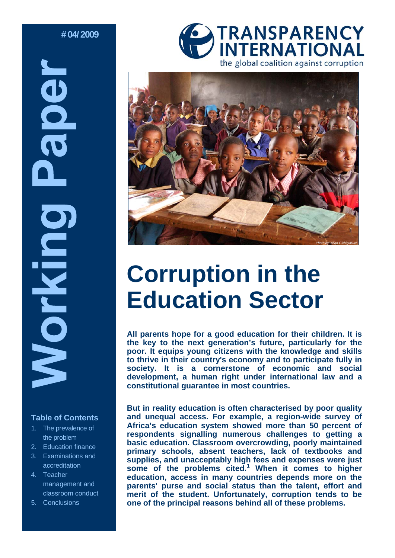**# 04/ 2009** 

**BOB** Morking

## **Table of Contents**

- 1. The prevalence of the problem
- 2. Education finance
- 3. Examinations and accreditation
- 4. Teacher management and classroom conduct
- 5. Conclusions





# **Corruption in the Education Sector**

**All parents hope for a good education for their children. It is the key to the next generation's future, particularly for the poor. It equips young citizens with the knowledge and skills to thrive in their country's economy and to participate fully in society. It is a cornerstone of economic and social development, a human right under international law and a constitutional guarantee in most countries.** 

**But in reality education is often characterised by poor quality and unequal access. For example, a region-wide survey of Africa's education system showed more than 50 percent of respondents signalling numerous challenges to getting a basic education. Classroom overcrowding, poorly maintained primary schools, absent teachers, lack of textbooks and supplies, and unacceptably high fees and expenses were just some of the problems cited.<sup>1</sup> When it comes to higher education, access in many countries depends more on the parents' purse and social status than the talent, effort and merit of the student. Unfortunately, corruption tends to be one of the principal reasons behind all of these problems.**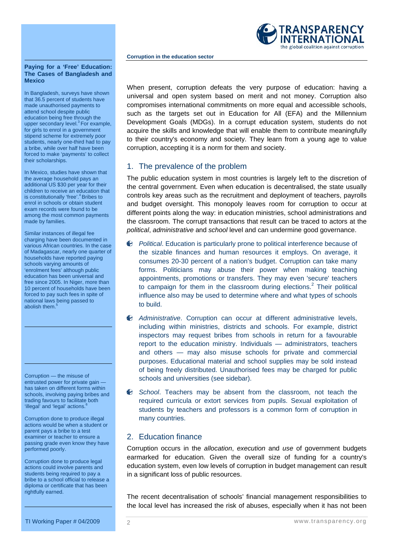

#### **Paying for a 'Free' Education: The Cases of Bangladesh and Mexico**

In Bangladesh, surveys have shown that 36.5 percent of students have made unauthorised payments to attend school despite public education being free through the upper secondary level. $3$  For example, for girls to enrol in a government stipend scheme for extremely poor students, nearly one-third had to pay a bribe, while over half have been forced to make 'payments' to collect their scholarships.

In Mexico, studies have shown that the average household pays an additional US \$30 per year for their children to receive an education that<br>is constitutionally 'free'.<sup>4</sup> Bribes to enrol in schools or obtain student exam records were found to be among the most common payments made by families.

Similar instances of illegal fee charging have been documented in various African countries. In the case of Madagascar, nearly one quarter of households have reported paying schools varying amounts of 'enrolment fees' although public education has been universal and free since 2005. In Niger, more than 10 percent of households have been forced to pay such fees in spite of national laws being passed to abolish them.

Corruption — the misuse of entrusted power for private gain has taken on different forms within schools, involving paying bribes and trading favours to facilitate both 'illegal' and 'legal' actions.

Corruption done to produce illegal actions would be when a student or parent pays a bribe to a test examiner or teacher to ensure a passing grade even know they have performed poorly.

Corruption done to produce legal actions could involve parents and students being required to pay a bribe to a school official to release a diploma or certificate that has been rightfully earned.

When present, corruption defeats the very purpose of education: having a universal and open system based on merit and not money. Corruption also compromises international commitments on more equal and accessible schools, such as the targets set out in Education for All (EFA) and the Millennium Development Goals (MDGs). In a corrupt education system, students do not acquire the skills and knowledge that will enable them to contribute meaningfully to their country's economy and society. They learn from a young age to value corruption, accepting it is a norm for them and society.

## 1. The prevalence of the problem

The public education system in most countries is largely left to the discretion of the central government. Even when education is decentralised, the state usually controls key areas such as the recruitment and deployment of teachers, payrolls and budget oversight. This monopoly leaves room for corruption to occur at different points along the way: in education ministries, school administrations and the classroom. The corrupt transactions that result can be traced to actors at the *political*, *administrative* and *school* level and can undermine good governance.

- *Political*. Education is particularly prone to political interference because of the sizable finances and human resources it employs. On average, it consumes 20-30 percent of a nation's budget. Corruption can take many forms. Politicians may abuse their power when making teaching appointments, promotions or transfers. They may even 'secure' teachers to campaign for them in the classroom during elections. $2$  Their political influence also may be used to determine where and what types of schools to build.
- *Administrative*. Corruption can occur at different administrative levels, including within ministries, districts and schools. For example, district inspectors may request bribes from schools in return for a favourable report to the education ministry. Individuals — administrators, teachers and others — may also misuse schools for private and commercial purposes. Educational material and school supplies may be sold instead of being freely distributed. Unauthorised fees may be charged for public schools and universities (see sidebar).
- *School*. Teachers may be absent from the classroom, not teach the required curricula or extort services from pupils. Sexual exploitation of students by teachers and professors is a common form of corruption in many countries.

## 2. Education finance

Corruption occurs in the *allocation*, *execution* and *use* of government budgets earmarked for education. Given the overall size of funding for a country's education system, even low levels of corruption in budget management can result in a significant loss of public resources.

The recent decentralisation of schools' financial management responsibilities to the local level has increased the risk of abuses, especially when it has not been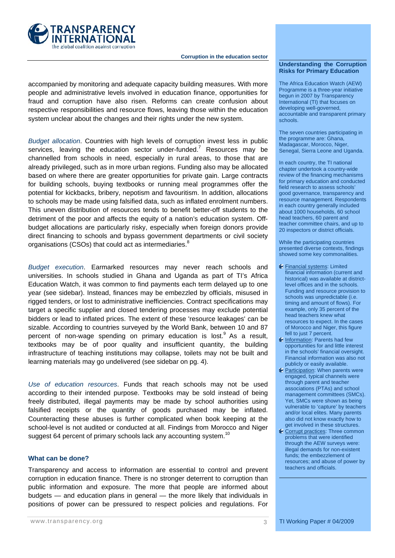

accompanied by monitoring and adequate capacity building measures. With more people and administrative levels involved in education finance, opportunities for fraud and corruption have also risen. Reforms can create confusion about respective responsibilities and resource flows, leaving those within the education system unclear about the changes and their rights under the new system.

*Budget allocation*. Countries with high levels of corruption invest less in public services, leaving the education sector under-funded.<sup>7</sup> Resources may be channelled from schools in need, especially in rural areas, to those that are already privileged, such as in more urban regions. Funding also may be allocated based on where there are greater opportunities for private gain. Large contracts for building schools, buying textbooks or running meal programmes offer the potential for kickbacks, bribery, nepotism and favouritism. In addition, allocations to schools may be made using falsified data, such as inflated enrolment numbers. This uneven distribution of resources tends to benefit better-off students to the detriment of the poor and affects the equity of a nation's education system. Offbudget allocations are particularly risky, especially when foreign donors provide direct financing to schools and bypass government departments or civil society organisations (CSOs) that could act as intermediaries.<sup>8</sup>

*Budget execution*. Earmarked resources may never reach schools and universities. In schools studied in Ghana and Uganda as part of TI's Africa Education Watch, it was common to find payments each term delayed up to one year (see sidebar). Instead, finances may be embezzled by officials, misused in rigged tenders, or lost to administrative inefficiencies. Contract specifications may target a specific supplier and closed tendering processes may exclude potential bidders or lead to inflated prices. The extent of these 'resource leakages' can be sizable. According to countries surveyed by the World Bank, between 10 and 87 percent of non-wage spending on primary education is lost. $9$  As a result, textbooks may be of poor quality and insufficient quantity, the building infrastructure of teaching institutions may collapse, toilets may not be built and learning materials may go undelivered (see sidebar on pg. 4).

*Use of education resources*. Funds that reach schools may not be used according to their intended purpose. Textbooks may be sold instead of being freely distributed, illegal payments may be made by school authorities using falsified receipts or the quantity of goods purchased may be inflated. Counteracting these abuses is further complicated when book keeping at the school-level is not audited or conducted at all. Findings from Morocco and Niger suggest 64 percent of primary schools lack any accounting system.<sup>10</sup>

### **What can be done?**

Transparency and access to information are essential to control and prevent corruption in education finance. There is no stronger deterrent to corruption than public information and exposure. The more that people are informed about budgets — and education plans in general — the more likely that individuals in positions of power can be pressured to respect policies and regulations. For

The Africa Education Watch (AEW) Programme is a three-year initiative begun in 2007 by Transparency International (TI) that focuses on developing well-governed, accountable and transparent primary schools.

The seven countries participating in the programme are: Ghana, Madagascar, Morocco, Niger, Senegal, Sierra Leone and Uganda.

In each country, the TI national chapter undertook a country-wide review of the financing mechanisms for primary education and conducted field research to assess schools' good governance, transparency and resource management. Respondents in each country generally included about 1000 households, 60 school head teachers, 60 parent and teacher committee chairs, and up to 20 inspectors or district officials.

While the participating countries presented diverse contexts, findings showed some key commonalities.

- Financial systems: Limited financial information (current and historical) was available at districtlevel offices and in the schools. Funding and resource provision to schools was unpredictable (i.e. timing and amount of flows). For example, only 35 percent of the head teachers knew what resources to expect. In the cases of Morocco and Niger, this figure fell to just 7 percent.
- Information: Parents had few opportunities for and little interest in the schools' financial oversight. Financial information was also not publicly or easily available.
- **Participation:** When parents were engaged, typical channels were through parent and teacher associations (PTAs) and school management committees (SMCs). Yet, SMCs were shown as being vulnerable to 'capture' by teachers and/or local elites. Many parents also did not know exactly how to get involved in these structures.
- **C** Corrupt practices: Three common problems that were identified through the AEW surveys were: illegal demands for non-existent funds; the embezzlement of resources; and abuse of power by teachers and officials.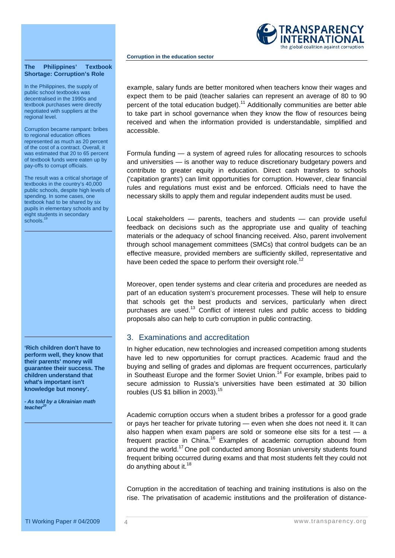

#### **The Philippines' Textbook Shortage: Corruption's Role**

In the Philippines, the supply of public school textbooks was decentralised in the 1990s and textbook purchases were directly negotiated with suppliers at the regional level.

Corruption became rampant: bribes to regional education offices represented as much as 20 percent of the cost of a contract. Overall, it was estimated that 20 to 65 percent of textbook funds were eaten up by pay-offs to corrupt officials.

The result was a critical shortage of textbooks in the country's 40,000 public schools, despite high levels of spending. In some cases, one textbook had to be shared by six pupils in elementary schools and by eight students in secondary schools.

**'Rich children don't have to perform well, they know that their parents' money will guarantee their success. The children understand that what's important isn't knowledge but money'.** 

*- As told by a Ukrainian math teacher20* 

example, salary funds are better monitored when teachers know their wages and expect them to be paid (teacher salaries can represent an average of 80 to 90 percent of the total education budget).<sup>11</sup> Additionally communities are better able to take part in school governance when they know the flow of resources being received and when the information provided is understandable, simplified and accessible.

Formula funding — a system of agreed rules for allocating resources to schools and universities — is another way to reduce discretionary budgetary powers and contribute to greater equity in education. Direct cash transfers to schools ('capitation grants') can limit opportunities for corruption. However, clear financial rules and regulations must exist and be enforced. Officials need to have the necessary skills to apply them and regular independent audits must be used.

Local stakeholders — parents, teachers and students — can provide useful feedback on decisions such as the appropriate use and quality of teaching materials or the adequacy of school financing received. Also, parent involvement through school management committees (SMCs) that control budgets can be an effective measure, provided members are sufficiently skilled, representative and have been ceded the space to perform their oversight role.<sup>12</sup>

Moreover, open tender systems and clear criteria and procedures are needed as part of an education system's procurement processes. These will help to ensure that schools get the best products and services, particularly when direct purchases are used.<sup>13</sup> Conflict of interest rules and public access to bidding proposals also can help to curb corruption in public contracting.

## 3. Examinations and accreditation

In higher education, new technologies and increased competition among students have led to new opportunities for corrupt practices. Academic fraud and the buying and selling of grades and diplomas are frequent occurrences, particularly in Southeast Europe and the former Soviet Union.<sup>14</sup> For example, bribes paid to secure admission to Russia's universities have been estimated at 30 billion roubles (US \$1 billion in 2003).<sup>15</sup>

Academic corruption occurs when a student bribes a professor for a good grade or pays her teacher for private tutoring — even when she does not need it. It can also happen when exam papers are sold or someone else sits for a test  $-$  a frequent practice in China.<sup>16</sup> Examples of academic corruption abound from around the world.<sup>17</sup> One poll conducted among Bosnian university students found frequent bribing occurred during exams and that most students felt they could not do anything about it. $18$ 

Corruption in the accreditation of teaching and training institutions is also on the rise. The privatisation of academic institutions and the proliferation of distance-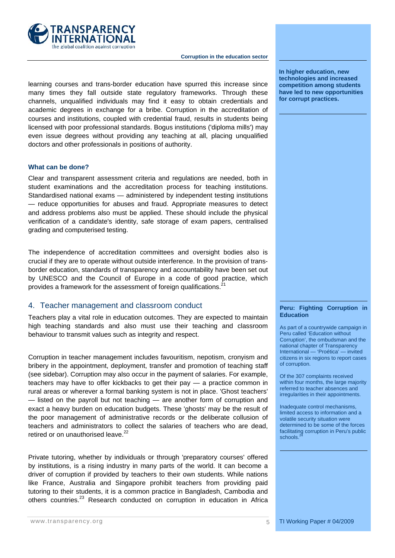

learning courses and trans-border education have spurred this increase since many times they fall outside state regulatory frameworks. Through these channels, unqualified individuals may find it easy to obtain credentials and academic degrees in exchange for a bribe. Corruption in the accreditation of courses and institutions, coupled with credential fraud, results in students being licensed with poor professional standards. Bogus institutions ('diploma mills') may even issue degrees without providing any teaching at all, placing unqualified doctors and other professionals in positions of authority.

### **What can be done?**

Clear and transparent assessment criteria and regulations are needed, both in student examinations and the accreditation process for teaching institutions. Standardised national exams — administered by independent testing institutions — reduce opportunities for abuses and fraud. Appropriate measures to detect and address problems also must be applied. These should include the physical verification of a candidate's identity, safe storage of exam papers, centralised grading and computerised testing.

The independence of accreditation committees and oversight bodies also is crucial if they are to operate without outside interference. In the provision of transborder education, standards of transparency and accountability have been set out by UNESCO and the Council of Europe in a code of good practice, which provides a framework for the assessment of foreign qualifications.<sup>21</sup>

## 4. Teacher management and classroom conduct

Teachers play a vital role in education outcomes. They are expected to maintain high teaching standards and also must use their teaching and classroom behaviour to transmit values such as integrity and respect.

Corruption in teacher management includes favouritism, nepotism, cronyism and bribery in the appointment, deployment, transfer and promotion of teaching staff (see sidebar). Corruption may also occur in the payment of salaries. For example, teachers may have to offer kickbacks to get their pay — a practice common in rural areas or wherever a formal banking system is not in place. 'Ghost teachers' — listed on the payroll but not teaching — are another form of corruption and exact a heavy burden on education budgets. These 'ghosts' may be the result of the poor management of administrative records or the deliberate collusion of teachers and administrators to collect the salaries of teachers who are dead, retired or on unauthorised leave.<sup>22</sup>

Private tutoring, whether by individuals or through 'preparatory courses' offered by institutions, is a rising industry in many parts of the world. It can become a driver of corruption if provided by teachers to their own students. While nations like France, Australia and Singapore prohibit teachers from providing paid tutoring to their students, it is a common practice in Bangladesh, Cambodia and others countries.23 Research conducted on corruption in education in Africa **In higher education, new technologies and increased competition among students have led to new opportunities for corrupt practices.** 

#### **Peru: Fighting Corruption in Education**

As part of a countrywide campaign in Peru called 'Education without Corruption', the ombudsman and the national chapter of Transparency International — 'Proética' — invited citizens in six regions to report cases of corruption.

Of the 307 complaints received within four months, the large majority referred to teacher absences and irregularities in their appointments.

Inadequate control mechanisms, limited access to information and a volatile security situation were determined to be some of the forces facilitating corruption in Peru's public schools.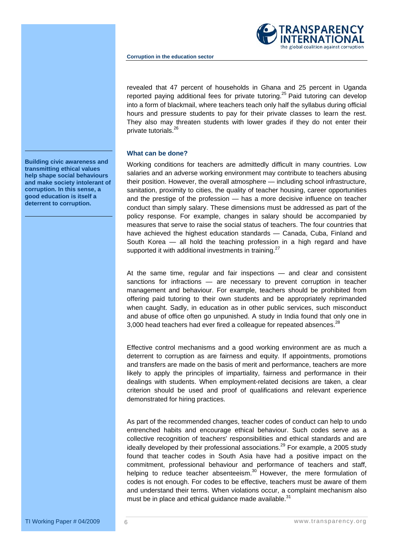

revealed that 47 percent of households in Ghana and 25 percent in Uganda reported paying additional fees for private tutoring.<sup>25</sup> Paid tutoring can develop into a form of blackmail, where teachers teach only half the syllabus during official hours and pressure students to pay for their private classes to learn the rest. They also may threaten students with lower grades if they do not enter their private tutorials.26

### **What can be done?**

Working conditions for teachers are admittedly difficult in many countries. Low salaries and an adverse working environment may contribute to teachers abusing their position. However, the overall atmosphere — including school infrastructure, sanitation, proximity to cities, the quality of teacher housing, career opportunities and the prestige of the profession — has a more decisive influence on teacher conduct than simply salary. These dimensions must be addressed as part of the policy response. For example, changes in salary should be accompanied by measures that serve to raise the social status of teachers. The four countries that have achieved the highest education standards — Canada, Cuba, Finland and South Korea — all hold the teaching profession in a high regard and have supported it with additional investments in training.<sup>27</sup>

At the same time, regular and fair inspections — and clear and consistent sanctions for infractions — are necessary to prevent corruption in teacher management and behaviour. For example, teachers should be prohibited from offering paid tutoring to their own students and be appropriately reprimanded when caught. Sadly, in education as in other public services, such misconduct and abuse of office often go unpunished. A study in India found that only one in 3,000 head teachers had ever fired a colleague for repeated absences. $^{28}$ 

Effective control mechanisms and a good working environment are as much a deterrent to corruption as are fairness and equity. If appointments, promotions and transfers are made on the basis of merit and performance, teachers are more likely to apply the principles of impartiality, fairness and performance in their dealings with students. When employment-related decisions are taken, a clear criterion should be used and proof of qualifications and relevant experience demonstrated for hiring practices.

As part of the recommended changes, teacher codes of conduct can help to undo entrenched habits and encourage ethical behaviour. Such codes serve as a collective recognition of teachers' responsibilities and ethical standards and are ideally developed by their professional associations.<sup>29</sup> For example, a 2005 study found that teacher codes in South Asia have had a positive impact on the commitment, professional behaviour and performance of teachers and staff, helping to reduce teacher absenteeism. $30$  However, the mere formulation of codes is not enough. For codes to be effective, teachers must be aware of them and understand their terms. When violations occur, a complaint mechanism also must be in place and ethical quidance made available. $31$ 

**Building civic awareness and transmitting ethical values help shape social behaviours and make society intolerant of corruption. In this sense, a good education is itself a deterrent to corruption.**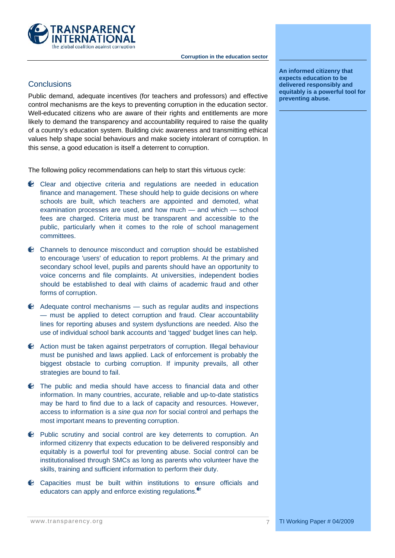

## **Conclusions**

Public demand, adequate incentives (for teachers and professors) and effective control mechanisms are the keys to preventing corruption in the education sector. Well-educated citizens who are aware of their rights and entitlements are more likely to demand the transparency and accountability required to raise the quality of a country's education system. Building civic awareness and transmitting ethical values help shape social behaviours and make society intolerant of corruption. In this sense, a good education is itself a deterrent to corruption.

The following policy recommendations can help to start this virtuous cycle:

- Clear and objective criteria and regulations are needed in education finance and management. These should help to guide decisions on where schools are built, which teachers are appointed and demoted, what examination processes are used, and how much — and which — school fees are charged. Criteria must be transparent and accessible to the public, particularly when it comes to the role of school management committees.
- Channels to denounce misconduct and corruption should be established to encourage 'users' of education to report problems. At the primary and secondary school level, pupils and parents should have an opportunity to voice concerns and file complaints. At universities, independent bodies should be established to deal with claims of academic fraud and other forms of corruption.
- $\bullet$  Adequate control mechanisms such as regular audits and inspections — must be applied to detect corruption and fraud. Clear accountability lines for reporting abuses and system dysfunctions are needed. Also the use of individual school bank accounts and 'tagged' budget lines can help.
- Action must be taken against perpetrators of corruption. Illegal behaviour must be punished and laws applied. Lack of enforcement is probably the biggest obstacle to curbing corruption. If impunity prevails, all other strategies are bound to fail.
- The public and media should have access to financial data and other information. In many countries, accurate, reliable and up-to-date statistics may be hard to find due to a lack of capacity and resources. However, access to information is a *sine qua non* for social control and perhaps the most important means to preventing corruption.
- Public scrutiny and social control are key deterrents to corruption. An informed citizenry that expects education to be delivered responsibly and equitably is a powerful tool for preventing abuse. Social control can be institutionalised through SMCs as long as parents who volunteer have the skills, training and sufficient information to perform their duty.
- Capacities must be built within institutions to ensure officials and educators can apply and enforce existing regulations.

**An informed citizenry that expects education to be delivered responsibly and equitably is a powerful tool for preventing abuse.**